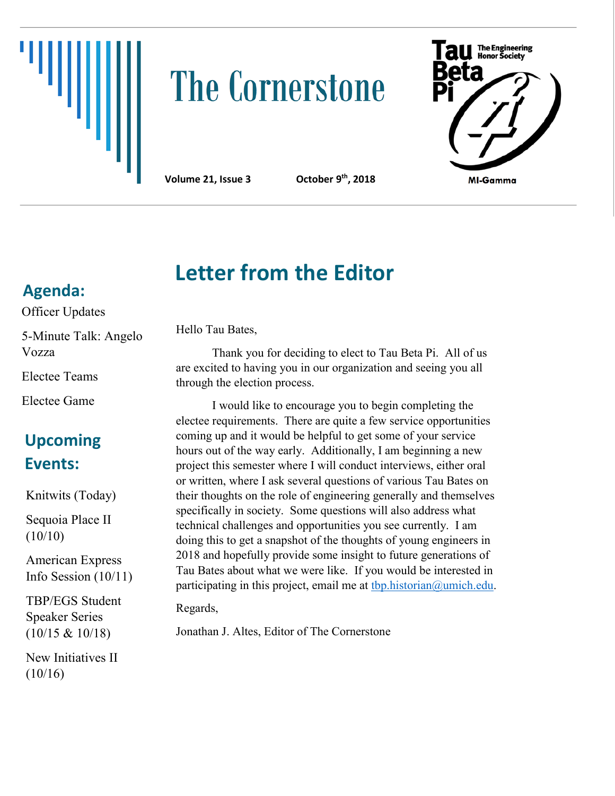

# **The Cornerstone**

**Letter from the Editor** 



**Volume 21, Issue 3** 

**th, 2018**

## **Agenda:**

Officer Updates

5-Minute Talk: Angelo Vozza

Electee Teams

Electee Game

## **Upcoming Events:**

Knitwits (Today)

Sequoia Place II  $(10/10)$ 

American Express Info Session (10/11)

TBP/EGS Student Speaker Series (10/15 & 10/18)

New Initiatives II (10/16)

## Hello Tau Bates,

Thank you for deciding to elect to Tau Beta Pi. All of us are excited to having you in our organization and seeing you all through the election process.

I would like to encourage you to begin completing the electee requirements. There are quite a few service opportunities coming up and it would be helpful to get some of your service hours out of the way early. Additionally, I am beginning a new project this semester where I will conduct interviews, either oral or written, where I ask several questions of various Tau Bates on their thoughts on the role of engineering generally and themselves specifically in society. Some questions will also address what technical challenges and opportunities you see currently. I am doing this to get a snapshot of the thoughts of young engineers in 2018 and hopefully provide some insight to future generations of Tau Bates about what we were like. If you would be interested in participating in this project, email me at  $tbp. historian@$ umich.edu.

Regards,

Jonathan J. Altes, Editor of The Cornerstone